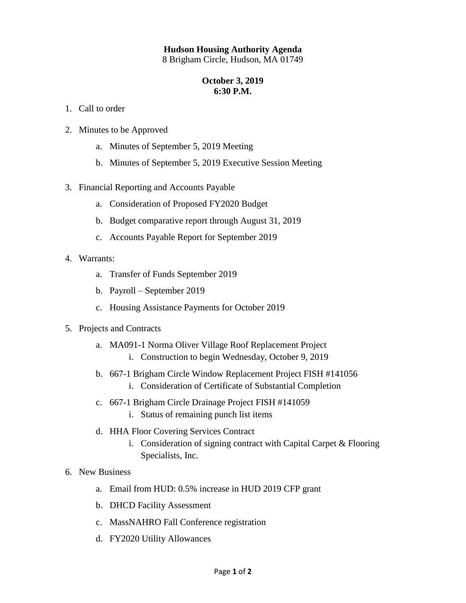## **Hudson Housing Authority Agenda**

8 Brigham Circle, Hudson, MA 01749

## **October 3, 2019 6:30 P.M.**

- 1. Call to order
- 2. Minutes to be Approved
	- a. Minutes of September 5, 2019 Meeting
	- b. Minutes of September 5, 2019 Executive Session Meeting
- 3. Financial Reporting and Accounts Payable
	- a. Consideration of Proposed FY2020 Budget
	- b. Budget comparative report through August 31, 2019
	- c. Accounts Payable Report for September 2019
- 4. Warrants:
	- a. Transfer of Funds September 2019
	- b. Payroll September 2019
	- c. Housing Assistance Payments for October 2019
- 5. Projects and Contracts
	- a. MA091-1 Norma Oliver Village Roof Replacement Project
		- i. Construction to begin Wednesday, October 9, 2019
	- b. 667-1 Brigham Circle Window Replacement Project FISH #141056 i. Consideration of Certificate of Substantial Completion
	- c. 667-1 Brigham Circle Drainage Project FISH #141059
		- i. Status of remaining punch list items
	- d. HHA Floor Covering Services Contract
		- i. Consideration of signing contract with Capital Carpet & Flooring Specialists, Inc.

## 6. New Business

- a. Email from HUD: 0.5% increase in HUD 2019 CFP grant
- b. DHCD Facility Assessment
- c. MassNAHRO Fall Conference registration
- d. FY2020 Utility Allowances